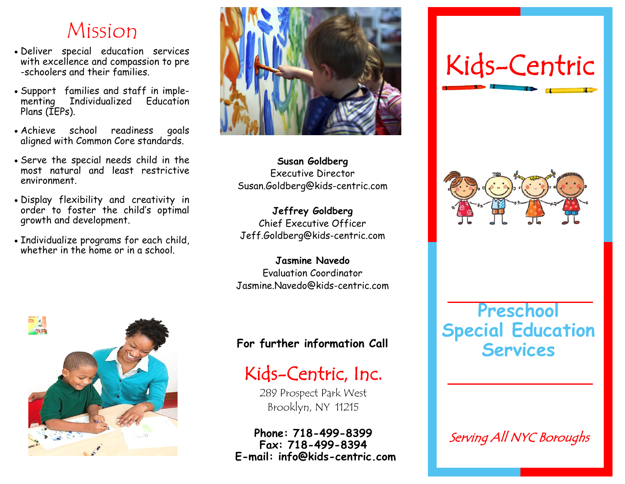## Mission

- Deliver special education services with excellence and compassion to pre -schoolers and their families.
- Support families and staff in implementing Individualized Education Plans (IEPs).
- Achieve school readiness goals aligned with Common Core standards.
- Serve the special needs child in the most natural and least restrictive environment.
- Display flexibility and creativity in order to foster the child's optimal growth and development.
- Individualize programs for each child, whether in the home or in a school.





**Susan Goldberg** Executive Director Susan.Goldberg@kids-centric.com

**Jeffrey Goldberg** Chief Executive Officer Jeff.Goldberg@kids-centric.com

**Jasmine Navedo** Evaluation Coordinator Jasmine.Navedo@kids-centric.com

#### **For further information Call**

## Kids-Centric, Inc.

289 Prospect Park West Brooklyn, NY 11215

**Phone: 718-499-8399 Fax: 718-499-8394 E-mail: info@kids-centric.com** 

# Kids-Centric



**Preschool Special Education Services**

Serving All NYC Boroughs